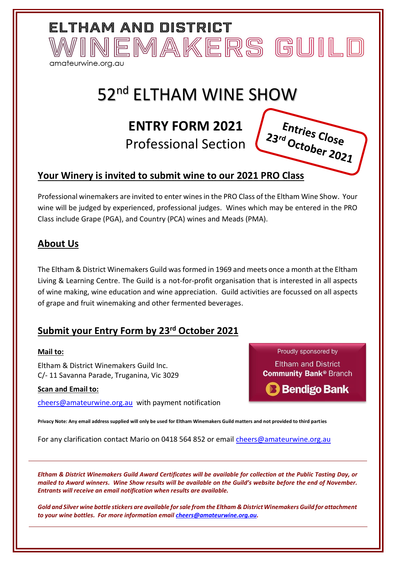# 52<sup>nd</sup> ELTHAM WINE SHOW

# **ENTRY FORM 2021**

Professional Section

### **Your Winery is invited to submit wine to our 2021 PRO Class**

Professional winemakers are invited to enter wines in the PRO Class of the Eltham Wine Show. Your wine will be judged by experienced, professional judges. Wines which may be entered in the PRO Class include Grape (PGA), and Country (PCA) wines and Meads (PMA).

### **About Us**

The Eltham & District Winemakers Guild was formed in 1969 and meets once a month at the Eltham Living & Learning Centre. The Guild is a not-for-profit organisation that is interested in all aspects of wine making, wine education and wine appreciation. Guild activities are focussed on all aspects of grape and fruit winemaking and other fermented beverages.

## **Submit your Entry Form by 23 rd October 2021**

#### **Mail to:**

Eltham & District Winemakers Guild Inc. C/- 11 Savanna Parade, Truganina, Vic 3029

#### **Scan and Email to:**

[cheers@amateurwine.org.au](mailto:cheers@amateurwine.org.au) with payment notification

**Privacy Note: Any email address supplied will only be used for Eltham Winemakers Guild matters and not provided to third parties**

For any clarification contact Mario on 0418 564 852 or email *cheers@amateurwine.org.au* 

*Eltham & District Winemakers Guild Award Certificates will be available for collection at the Public Tasting Day, or mailed to Award winners. Wine Show results will be available on the Guild's website before the end of November. Entrants will receive an email notification when results are available.*

*Gold and Silver wine bottle stickers are available for sale from the Eltham & District Winemakers Guild for attachment to your wine bottles. For more information email [cheers@amateurwine.org.au.](mailto:cheers@amateurwine.org.au)*

Proudly sponsored by **Eltham and District Community Bank® Branch** 





ELTHAM AND DISTRICT INEMAKERS GUILD amateurwine.org.au